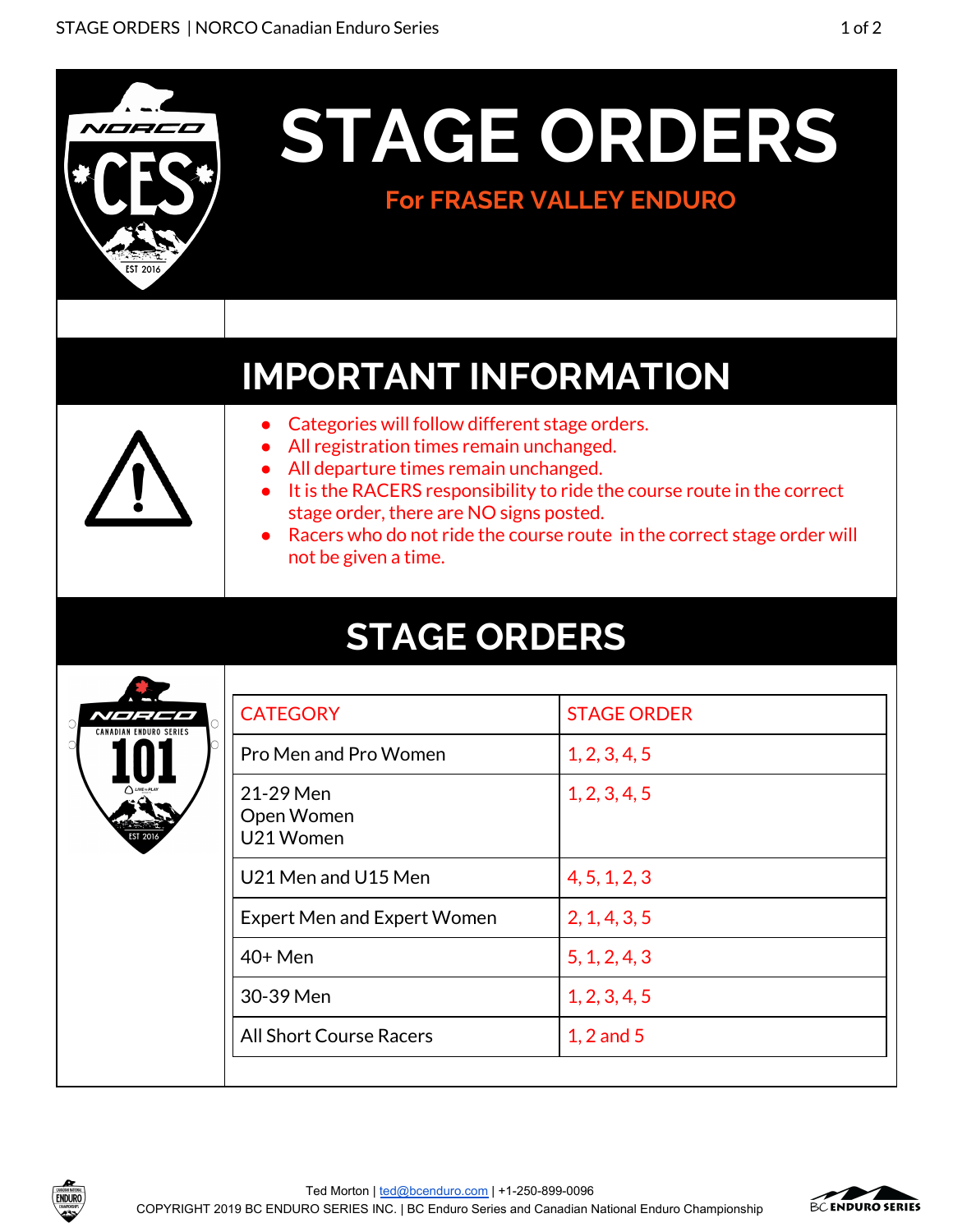